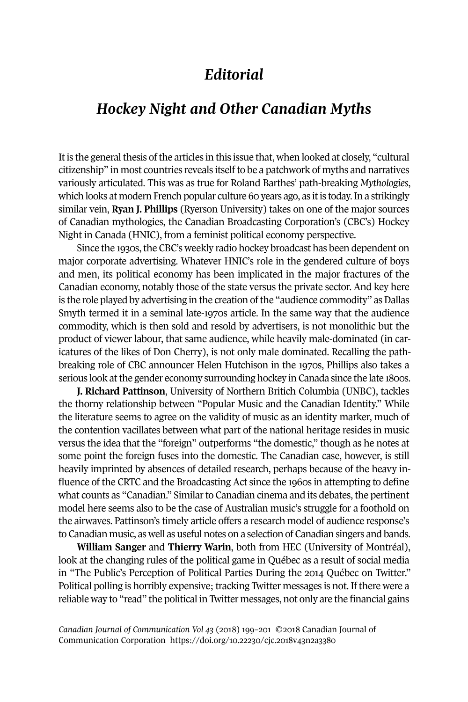## *Editorial*

## *Hockey Night and Other Canadian Myths*

It is the general thesis of the articles in this issue that, when looked at closely, "cultural citizenship" in most countries reveals itselfto be a patchwork of myths and narratives variously articulated. This was as true for Roland Barthes' path-breaking *Mythologies*, which looks at modern French popular culture 60 years ago, as it is today. In a strikingly similar vein, **Ryan J. Phillips** (Ryerson University) takes on one of the major sources of Canadian mythologies, the Canadian Broadcasting Corporation's (CBC's) Hockey Night in Canada (HNIC), from a feminist political economy perspective.

Since the 1930s, the CBC's weekly radio hockey broadcast has been dependent on major corporate advertising. Whatever HNIC's role in the gendered culture of boys and men, its political economy has been implicated in the major fractures of the Canadian economy, notably those of the state versus the private sector. And key here is the role played by advertising in the creation of the "audience commodity" as Dallas Smyth termed it in a seminal late-1970s article. In the same way that the audience commodity, which is then sold and resold by advertisers, is not monolithic but the product of viewer labour, that same audience, while heavily male-dominated (in caricatures of the likes of Don Cherry), is not only male dominated. Recalling the pathbreaking role of CBC announcer Helen Hutchison in the 1970s, Phillips also takes a serious look at the gender economy surrounding hockey in Canada since the late 1800s.

**J. Richard Pattinson**, University of Northern Britich Columbia (UNBC), tackles the thorny relationship between "Popular Music and the Canadian Identity." While the literature seems to agree on the validity of music as an identity marker, much of the contention vacillates between what part of the national heritage resides in music versus the idea that the "foreign" outperforms "the domestic," though as he notes at some point the foreign fuses into the domestic. The Canadian case, however, is still heavily imprinted by absences of detailed research, perhaps because of the heavy influence of the CRTC and the Broadcasting Act since the 1960s in attempting to define what counts as "Canadian." Similar to Canadian cinema and its debates, the pertinent model here seems also to be the case of Australian music's struggle for a foothold on the airwaves. Pattinson's timely article offers a research model of audience response's to Canadian music, as well as useful notes on a selection of Canadian singers and bands.

**William Sanger** and **Thierry Warin**, both from HEC (University of Montréal), look at the changing rules of the political game in Québec as a result of social media in "The Public's Perception of Political Parties During the 2014 Québec on Twitter." Political polling is horribly expensive; tracking Twitter messages is not. If there were a reliable way to "read" the political in Twitter messages, not only are the financial gains

*Canadian Journal of [Communication](http://www.cjc-online.ca) Vol 43* (2018) 199–201 ©2018 Canadian Journal of Communication Corporation <https://doi.org/10.22230/cjc.2018v43n2a3380>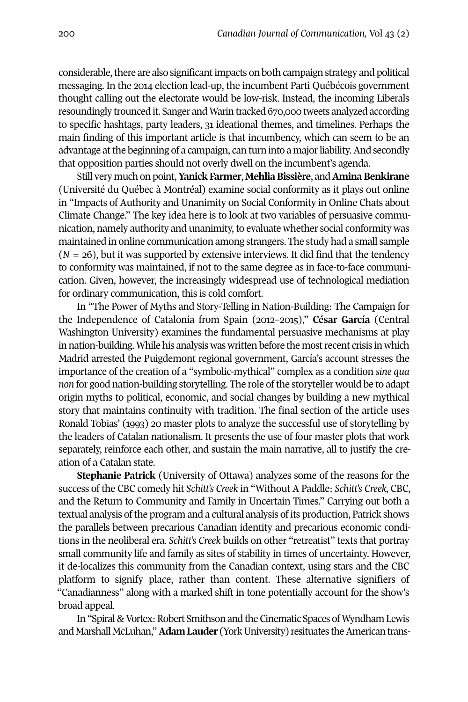considerable, there are also significant impacts on both campaign strategy and political messaging. In the 2014 election lead-up, the incumbent Parti Québécois government thought calling out the electorate would be low-risk. Instead, the incoming Liberals resoundingly trounced it. Sanger and Warin tracked 670,000 tweets analyzed according to specific hashtags, party leaders, 31 ideational themes, and timelines. Perhaps the main finding of this important article is that incumbency, which can seem to be an advantage at the beginning of a campaign, can turn into a major liability. And secondly that opposition parties should not overly dwell on the incumbent's agenda.

Still very much on point,**Yanick Farmer**, **MehliaBissière**, and**AminaBenkirane** (Université du Québec à Montréal) examine social conformity as it plays out online in "Impacts of Authority and Unanimity on Social Conformity in Online Chats about Climate Change." The key idea here is to look at two variables of persuasive communication, namely authority and unanimity, to evaluate whether social conformity was maintained in online communication among strangers. The study had a small sample  $(N = 26)$ , but it was supported by extensive interviews. It did find that the tendency to conformity was maintained, if not to the same degree as in face-to-face communication. Given, however, the increasingly widespread use of technological mediation for ordinary communication, this is cold comfort.

In "The Power of Myths and Story-Telling in Nation-Building: The Campaign for the Independence of Catalonia from Spain (2012–2015)," **César García** (Central Washington University) examines the fundamental persuasive mechanisms at play in nation-building. While his analysis was written before the mostrecent crisis in which Madrid arrested the Puigdemont regional government, García's account stresses the importance of the creation of a "symbolic-mythical" complex as a condition *sine qua non* for good nation-building storytelling. The role of the storyteller would be to adapt origin myths to political, economic, and social changes by building a new mythical story that maintains continuity with tradition. The final section of the article uses Ronald Tobias' (1993) 20 master plots to analyze the successful use of storytelling by the leaders of Catalan nationalism. It presents the use of four master plots that work separately, reinforce each other, and sustain the main narrative, all to justify the creation of a Catalan state.

**Stephanie Patrick** (University of Ottawa) analyzes some of the reasons for the success of the CBC comedy hit *Schitt's Creek* in "Without A Paddle: *Schitt's Creek,* CBC, and the Return to Community and Family in Uncertain Times." Carrying out both a textual analysis ofthe program and a cultural analysis of its production, Patrick shows the parallels between precarious Canadian identity and precarious economic conditions in the neoliberal era. *Schitt's Creek* builds on other "retreatist" texts that portray small community life and family as sites of stability in times of uncertainty. However, it de-localizes this community from the Canadian context, using stars and the CBC platform to signify place, rather than content. These alternative signifiers of "Canadianness" along with a marked shift in tone potentially account for the show's broad appeal.

In "Spiral & Vortex: Robert Smithson and the Cinematic Spaces of Wyndham Lewis and Marshall McLuhan," **Adam Lauder** (York University) resituates the American trans-